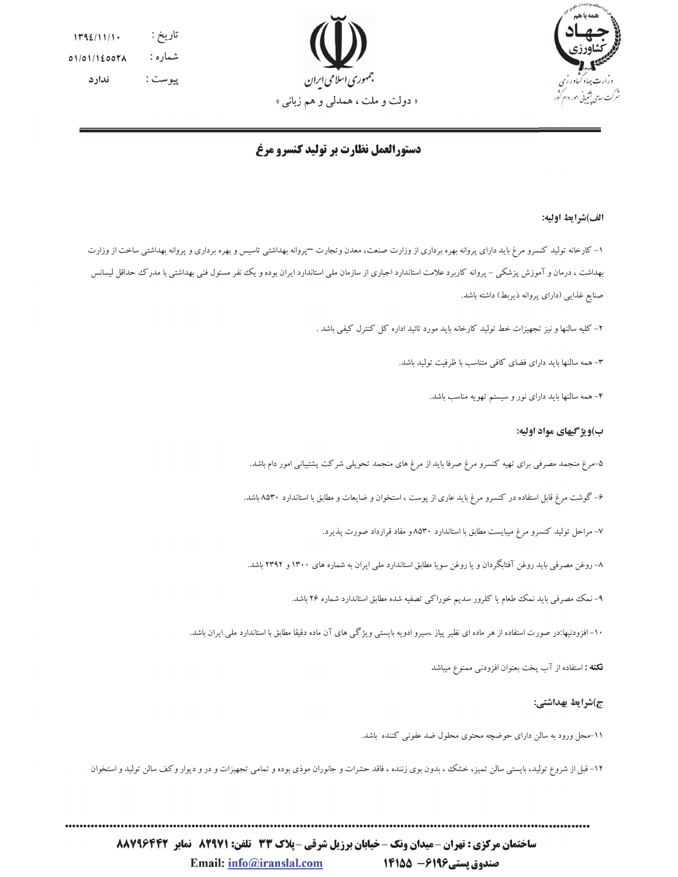



تاريخ :  $1792/11/1$ . شماره :  $01/01/12007A$ پيوست : ندار د

# دستورالعمل نظارت بر تولید کنسرو مرغ

#### الف)شرايط اوليه:

۱– کارخانه تولید کنسرو مرغ باید دارای پروانه بهره برداری از وزارت صنعت، معدن وتجارت —پروانه بهداشتی تاسیس و بهره برداری و پروانه بهداشتی ساخت از وزارت بهداشت ، درمان و آموزش پزشکی – پروانه کاربرد علامت استاندارد اجباری از سازمان ملی استاندارد ایران بوده و یک نفر مسئول فنی بهداشتی با مدرک حداقل لیسانس صنايع غذايبي (داراي پروانه ذيربط) داشته باشد.

۲– کلیه سالنها و نیز تجهیزات خط تولید کارخانه باید مورد تائید اداره کل کنترل کیفی باشد .

۳- همه سالنها باید دارای فضای کافی متناسب با ظرفیت تولید باشد.

۴– همه سالنها باید دارای نور و سیستم تهویه مناسب باشد.

### ب)ویژ گیهای مواد اولیه:

۵–مرغ منجمد مصرفی برای تهیه کنسرو مرغ صرفا باید از مرغ های منجمد تحویلی شرکت پشتیبانی امور دام باشد.

۶– گوشت مرغ قابل استفاده در کنسرو مرغ باید عاری از پوست ، استخوان و ضایعات و مطابق با استاندارد ۸۵۳۰ باشد.

۷- مراحل تولید کنسرو مرغ میبایست مطابق با استاندارد ۸۵۳۰ و مفاد قرارداد صورت پذیرد.

۸– روغن مصرفی باید روغن آفتابگردان و یا روغن سویا مطابق استاندارد ملی ایران به شماره های ۱۳۰۰ و ۲۳۹۲ باشد.

۹– نمک مصرفی باید نمک طعام یا کلرور سدیم خوراکی تصفیه شده مطابق استاندارد شماره ۲۶ باشد.

۱۰–افزودنیها:در صورت استفاده از هر ماده ای نظیر پیاز ،سیرو ادویه بایستی ویژگی های آن ماده دقیقا مطابق با استاندارد ملبی ایران باشد.

نكته : استفاده از آب يخت بعنوان افزودني ممنوع ميباشد

### ج)شرايط بهداشتي:

11-محل ورود به سالن دارای حوضچه محتوی محلول ضد عفونی کننده باشد.

۱۲- قبل از شروع تولید، بایستی سالن تمیز، خشک ، بدون بوی زننده ، فاقد حشرات و جانوران موذی بوده و تمیمیزات و در و دیوار وکف سالن تولید و استخوان

ساختمان مرکزی : تهران -میدان ونک - خیابان برزیل شرقی -پلاک 33 تلفن: 829211 نمابر 83466288 18778

صندوق پستی146- 1415 Email: info@iranslal.com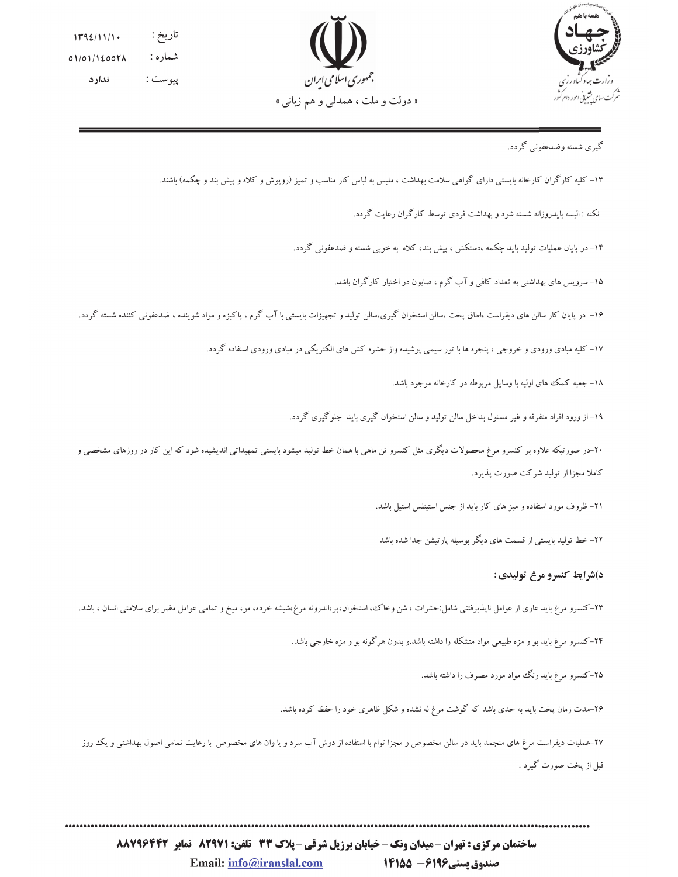



تاريخ :  $1792/11/1$ . شماره :  $01/01/12007A$ پيوست : ندار د

# گیری شسته وضدعفونی گردد.

۱۳– کلیه کارگران کارخانه بایستی دارای گواهی سلامت بهداشت ، ملبس به لباس کار مناسب و تمیز (رویوش و کلاه و بیش بند و چکمه) باشند.

نکته : البسه بایدروزانه شسته شود و بهداشت فردی توسط کارگران رعایت گردد.

۱۴– در پایان عملیات تولید باید چکمه ،دستکش ، پیش بند، کلاه به خوبی شسته و ضدعفونی گردد.

۱۵– سرویس های بهداشتی به تعداد کافی و آب گرم ، صابون در اختیار کارگران باشد.

۱۶– در پایان کار سالن های دیفراست ،اطاق پخت ،سالن استخوان گیری،سالن تولید و تجهیزات بایستی با آب گرم ، پاکیزه و مواد شوینده ، ضدعفونی کننده شسته گردد.

۱۷– کلیه مبادی ورودی و خروجی ، پنجره ها با تور سیمی پوشیده واز حشره کش های الکتریکی در مبادی ورودی استفاده گردد.

۱۸– جعبه کمک های اولیه با وسایل مربوطه در کارخانه موجود باشد.

۱۹– از ورود افراد متفرقه و غیر مسئول بداخل سالن تولید و سالن استخوان گیری باید جلوگیری گردد.

۲۰-در صورتیکه علاوه بر کنسرو مرغ محصولات دیگری مثل کنسرو تن ماهی با همان خط تولید میشود بایستی تمهیداتی اندیشیده شود که این کار در روزهای مشخصی و کاملا مجزا از تولید شرکت صورت پذیرد.

٢١- ظروف مورد استفاده و ميز هاى كار بايد از جنس استينلس استيل باشد.

۲۲– خط تولید بایستی از قسمت های دیگر بوسیله پارتیشن جدا شده باشد

### د)شرايط كنسرو مرغ توليدي :

۲۳–کنسرو مرغ باید عاری از عوامل ناپذیرفتنی شامل:حشرات ، شن وخاک، استخوان،پر،اندرونه مرغ،شیشه خرده، مو، میخ و تمامی عوامل مضر برای سلامتی انسان ، باشد.

۲۴–کنسرو مرغ باید بو و مزه طبیعی مواد متشکله را داشته باشد.و بدون هرگونه بو و مزه خارجی باشد.

۲۵–کنسرو مرغ باید رنگ مواد مورد مصرف را داشته باشد.

۲۶-مدت زمان پخت باید به حدی باشد که گوشت مرغ له نشده و شکل ظاهری خود را حفظ کرده باشد.

۲۷-عملیات دیفراست مرغ های منجمد باید در سالن مخصوص و مجزا توام با استفاده از دوش آب سرد و یا وان های مخصوص با رعایت تمامی اصول بهداشتی و یک روز قبل از پخت صورت گیرد .

ساختمان مرکزی : تهران -میدان ونک - خیابان برزیل شرقی -پلاک 33 تلفن: 829211 نمابر 83466288 18778 صندوق پستی146- 1415 Email: info@iranslal.com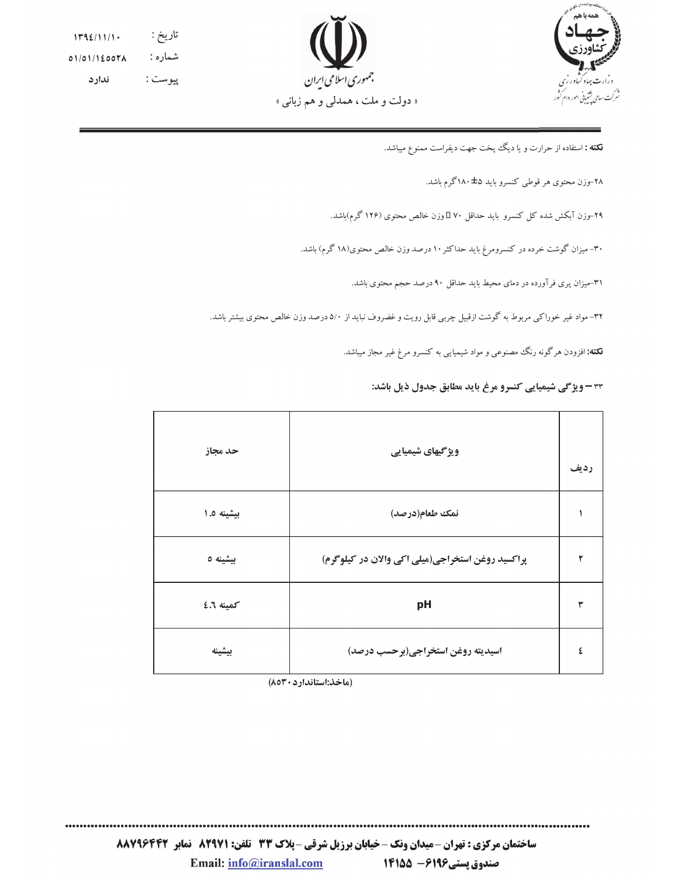



تاريخ :  $1192/11/1$ . شماره :  $01/01/12007$ ندارد پيوست :

**نکته :** استفاده از حرارت و یا دیگ پخت جهت دیفراست ممنوع میباشد.

#### ۲۸–وزن محتوی هر قوطی کنسرو باید ۱۸۰ $\pm$ گرم باشد.

۲۹–وزن آبکش شده کل کنسرو باید حداقل ۷۰ ∏وزن خالص محتوی (۱۲۶ گرم)باشد.

۳۰- میزان گوشت خرده در کنسرومرغ باید حداکثر ۱۰ درصد وزن خالص محتوی(۱۸ گرم) باشد.

۳۱-میزان پری فرآورده در دمای محیط باید حداقل ۹۰ درصد حجم محتوی باشد.

۳۲- مواد غیر خوراکی مربوط به گوشت ازقبیل چربی قابل رویت و غضروف نباید از ۵/۰ درصد وزن خالص محتوی بیشتر باشد.

**نکته:** افزودن هرگونه رنگ مصنوعی و مواد شیمیایی به کنسرو مرغ غیر مجاز میباشد.

۳۳ – ویژگی شیمیایی کنسرو مرغ باید مطابق جدول ذیل باشد:

. . . . . . . . . . . . . . . .

| حد مجاز    | ویژگیهای شیمیایی                                 | رديف |
|------------|--------------------------------------------------|------|
| بيشينه ٠.٥ | نمك طعام(درصد)                                   |      |
| بيشينه ٥   | پراکسید روغن استخراجی(میلی اکی والان در کیلوگرم) |      |
| كمينه ٦.٢  | pH                                               | ۳    |
| بيشينه     | اسيديته روغن استخراجي(برحسب درصد)                | ٤    |

(ماخذ:استاندارد ٨٥٣٠)

ساختمان مرکزی : تهران -میدان ونک - خیابان برزیل شرقی -پلاک 33 تلفن: 829211 نمابر 8426643 صندوق پستی146- 1415 Email: info@iranslal.com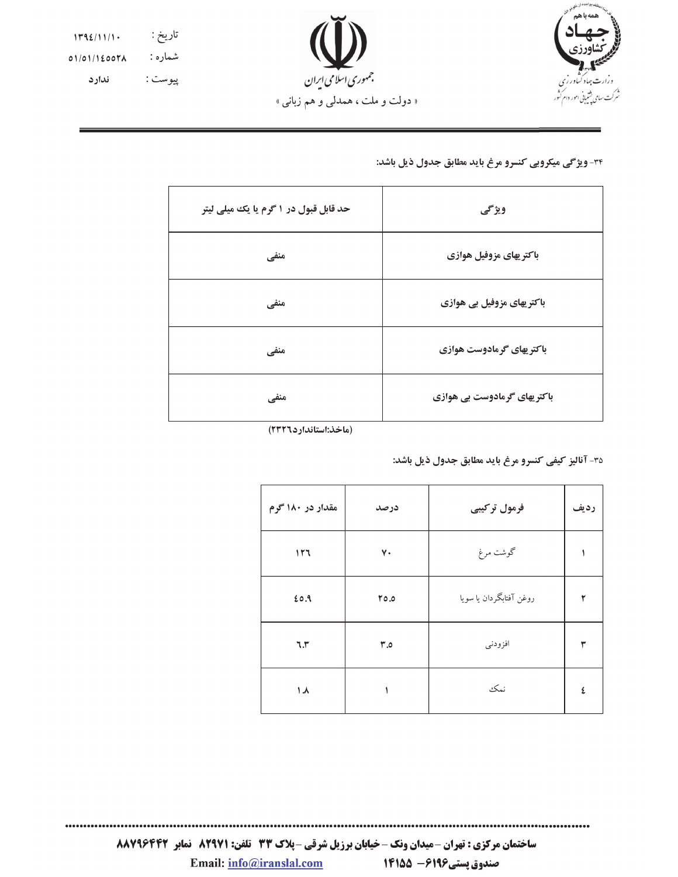



تاريخ : ١٣٩٤/١١/١٠ شماره: 01/01/1600۲۸ ندارد پيوست :

### 34- ویژگی میکروبی کنسرو مرغ باید مطابق جدول ذیل باشد:

| حد قابل قبول در ۱ گرم یا یک میلی لیتر | ويژگى                        |
|---------------------------------------|------------------------------|
| منفي                                  | باكتر يهاى مزوفيل هوازي      |
| منفي                                  | باکتر پهای مزوفیل بی هوازی   |
| منفي                                  | باكتريهاي گرمادوست هوازي     |
| منفي                                  | باکتر یهای گرمادوست بی هوازی |

(ماخذ:استاندارد۱۳۲۲)

٣٥- آناليز كيفي كنسرو مرغ بايد مطابق جدول ذيل باشد:

| مقدار در ۱۸۰ گرم | درصد | فرمول تركيبي            | رديف |
|------------------|------|-------------------------|------|
| 117              | ٧٠   | گوشت مرغ                |      |
| 20.9             | 0.07 | روغن آفتابگردان يا سويا |      |
| 7.5              | r.o  | افزودني                 | ٣    |
| ۸. ۱             |      | نمك                     | ٤    |

ساختمان مرکزی : تهران -میدان ونک - خیابان برزیل شرقی -پلاک 33 تلفن: 829211 نمابر 86466288 صندوق يستى149- 1455 Email: info@iranslal.com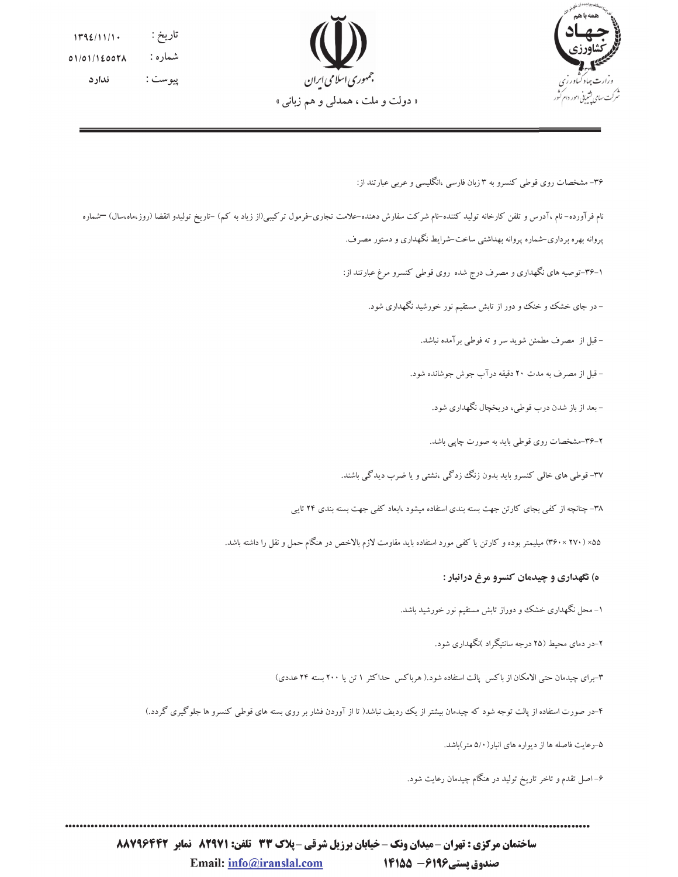



تاريخ :  $1192/11/1$ . شماره :  $01/01/12007A$ پيوست : ندار د

۳۶- مشخصات روی قوطی کنسرو به ۳ زبان فارسی ،انگلیسی و عربی عبارتند از:

نام فرآورده– نام ،آدرس و تلفن کارخانه تولید کننده–نام شرکت سفارش دهنده–علامت تجاری–فرمول ترکیبی(از زیاد به کم) –تاریخ تولیدو انقضا (روز،ماه،سال) —شماره پروانه بهره برداری-شماره پروانه بهداشتی ساخت-شرایط نگهداری و دستور مصرف.

۱–۳۶–توصیه های نگهداری و مصرف درج شده روی قوطی کنسرو مرغ عبارتند از:

– در جای خشک و خنک و دور از تابش مستقیم نور خورشید نگهداری شود.

- قبل از مصرف مطمئن شويد سر و ته فوطى برآمده نباشد.

- قبل از مصرف به مدت ۲۰ دقیقه درآب جوش جوشانده شود.

- بعد از باز شدن درب قوطي، دريخچال نگهداري شود.

۲–۳۶–مشخصات روی قوطی باید به صورت چاپی باشد.

۳۷- قوطی های خالبی کنسرو باید بدون زنگ زدگی ،نشتبی و یا ضرب دیدگی باشند.

۳۸- چنانچه از کفی بجای کارتن جهت بسته بندی استفاده میشود ،ابعاد کفی جهت بسته بندی ۲۴ تایی

۵۵٪ (۳۶۰×۳۴۰) میلیمتر بوده و کارتن یا کفی مورد استفاده باید مقاومت لازم بالاخص در هنگام حمل و نقل را داشته باشد.

## ه) نگهداري و چيدمان کنسرو مرغ درانبار :

۱– محل نگهداری خشک و دوراز تابش مستقیم نور خورشید باشد.

۲–در دمای محیط (۲۵ درجه سانتیگراد )نگهداری شود.

٣-برای چیدمان حتبی الامکان از باکس پالت استفاده شود.( هرباکس حداکثر ١ تن یا ٢٠٠ بسته ٢۴ عددی)

۴-در صورت استفاده از پالت توجه شود که چیدمان بیشتر از یک ردیف نباشد( تا از آوردن فشار بر روی بسته های قوطی کنسرو ها جلوگیری گردد.)

۵–رعایت فاصله ها از دیواره های انبار (۵/۰ متر)باشد.

۶– اصل تقدم و تاخر تاریخ تولید در هنگام چیدمان رعایت شود.

ساختمان مرکزی : تهران -میدان ونک - خیابان برزیل شرقی -پلاک 33 تلفن: 829211 نمابر 83466288 18778 Email: info@iranslal.com صندوق پستی1496 - 1415